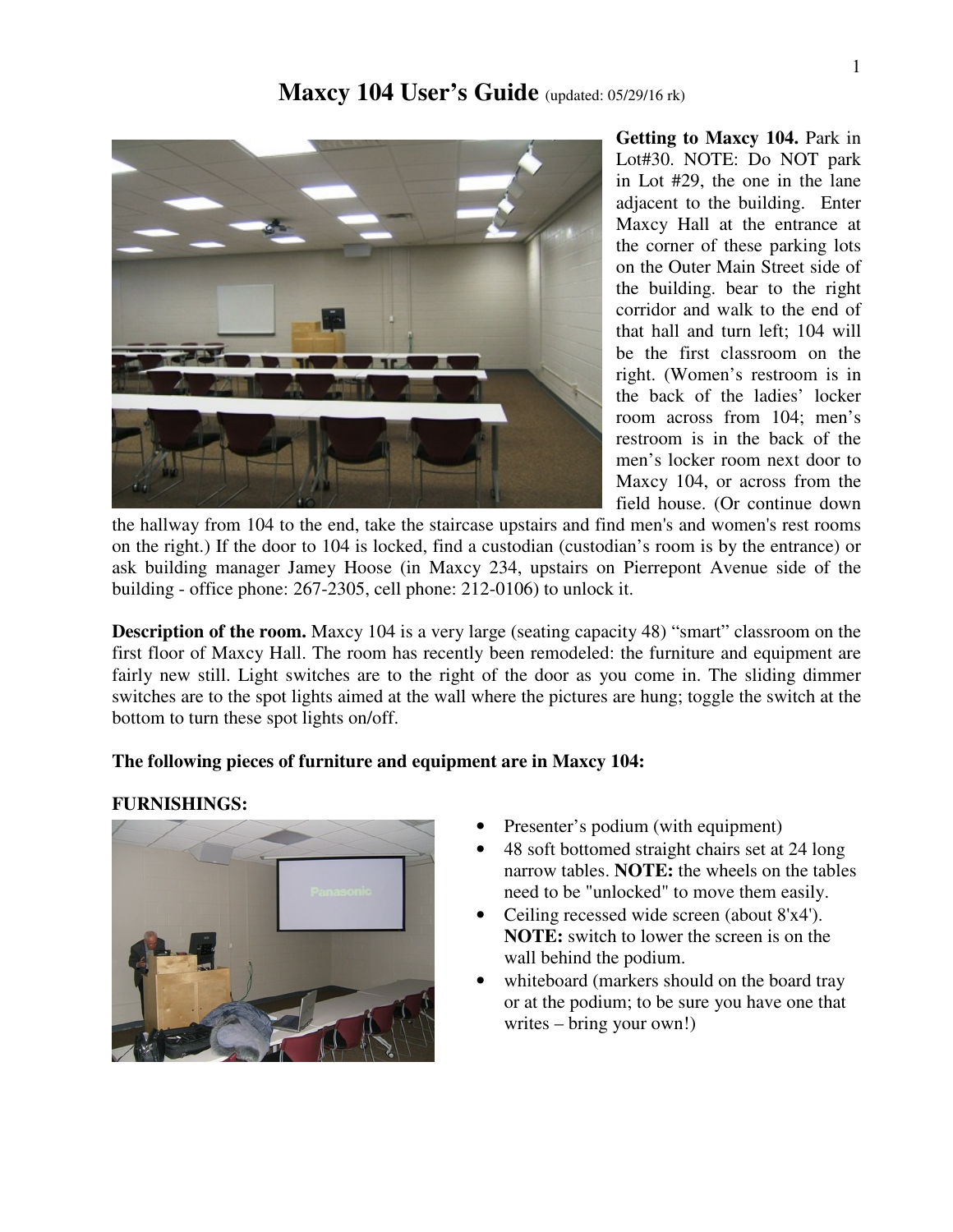

**Getting to Maxcy 104.** Park in Lot#30. NOTE: Do NOT park in Lot #29, the one in the lane adjacent to the building. Enter Maxcy Hall at the entrance at the corner of these parking lots on the Outer Main Street side of the building. bear to the right corridor and walk to the end of that hall and turn left; 104 will be the first classroom on the right. (Women's restroom is in the back of the ladies' locker room across from 104; men's restroom is in the back of the men's locker room next door to Maxcy 104, or across from the field house. (Or continue down

the hallway from 104 to the end, take the staircase upstairs and find men's and women's rest rooms on the right.) If the door to 104 is locked, find a custodian (custodian's room is by the entrance) or ask building manager Jamey Hoose (in Maxcy 234, upstairs on Pierrepont Avenue side of the building - office phone: 267-2305, cell phone: 212-0106) to unlock it.

**Description of the room.** Maxcy 104 is a very large (seating capacity 48) "smart" classroom on the first floor of Maxcy Hall. The room has recently been remodeled: the furniture and equipment are fairly new still. Light switches are to the right of the door as you come in. The sliding dimmer switches are to the spot lights aimed at the wall where the pictures are hung; toggle the switch at the bottom to turn these spot lights on/off.

## **The following pieces of furniture and equipment are in Maxcy 104:**

#### **FURNISHINGS:**



- Presenter's podium (with equipment)
- 48 soft bottomed straight chairs set at 24 long narrow tables. **NOTE:** the wheels on the tables need to be "unlocked" to move them easily.
- Ceiling recessed wide screen (about 8'x4'). **NOTE:** switch to lower the screen is on the wall behind the podium.
- whiteboard (markers should on the board tray or at the podium; to be sure you have one that writes – bring your own!)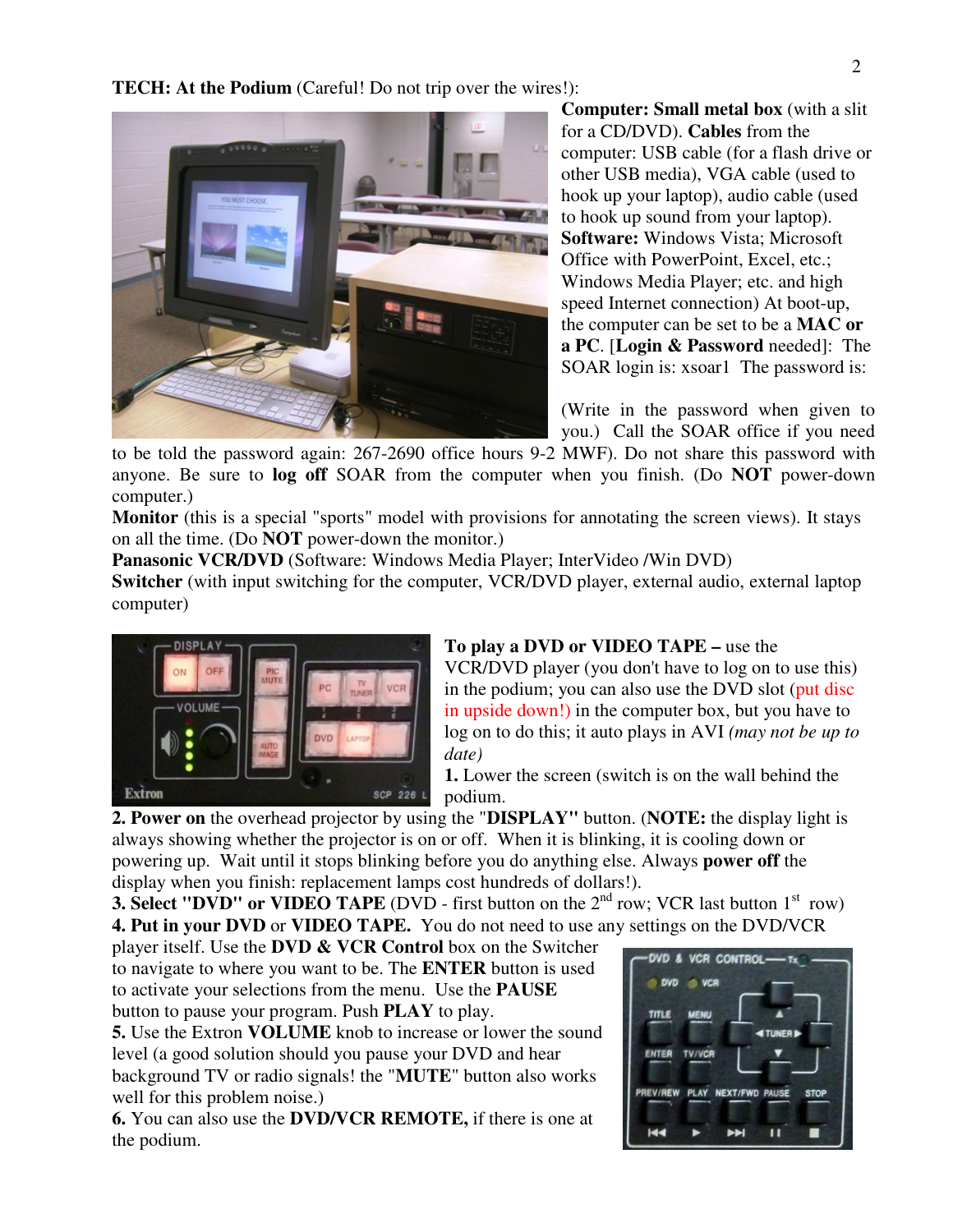**TECH: At the Podium** (Careful! Do not trip over the wires!):



**Computer: Small metal box** (with a slit for a CD/DVD). **Cables** from the computer: USB cable (for a flash drive or other USB media), VGA cable (used to hook up your laptop), audio cable (used to hook up sound from your laptop). **Software:** Windows Vista; Microsoft Office with PowerPoint, Excel, etc.; Windows Media Player; etc. and high speed Internet connection) At boot-up, the computer can be set to be a **MAC or a PC**. [**Login & Password** needed]: The SOAR login is: xsoar1 The password is:

(Write in the password when given to you.) Call the SOAR office if you need

to be told the password again: 267-2690 office hours 9-2 MWF). Do not share this password with anyone. Be sure to **log off** SOAR from the computer when you finish. (Do **NOT** power-down computer.)

**Monitor** (this is a special "sports" model with provisions for annotating the screen views). It stays on all the time. (Do **NOT** power-down the monitor.)

Panasonic VCR/DVD (Software: Windows Media Player; InterVideo /Win DVD)

**Switcher** (with input switching for the computer, VCR/DVD player, external audio, external laptop computer)



# **To play a DVD or VIDEO TAPE –** use the

VCR/DVD player (you don't have to log on to use this) in the podium; you can also use the DVD slot (put disc in upside down!) in the computer box, but you have to log on to do this; it auto plays in AVI *(may not be up to date)* 

**1.** Lower the screen (switch is on the wall behind the podium.

**2. Power on** the overhead projector by using the "**DISPLAY"** button. (**NOTE:** the display light is always showing whether the projector is on or off. When it is blinking, it is cooling down or powering up. Wait until it stops blinking before you do anything else. Always **power off** the display when you finish: replacement lamps cost hundreds of dollars!).

**3. Select "DVD" or VIDEO TAPE** (DVD - first button on the  $2<sup>nd</sup>$  row; VCR last button  $1<sup>st</sup>$  row) **4. Put in your DVD** or **VIDEO TAPE.** You do not need to use any settings on the DVD/VCR

player itself. Use the **DVD & VCR Control** box on the Switcher to navigate to where you want to be. The **ENTER** button is used to activate your selections from the menu. Use the **PAUSE**  button to pause your program. Push **PLAY** to play.

**5.** Use the Extron **VOLUME** knob to increase or lower the sound level (a good solution should you pause your DVD and hear background TV or radio signals! the "**MUTE**" button also works well for this problem noise.)

**6.** You can also use the **DVD/VCR REMOTE,** if there is one at the podium.